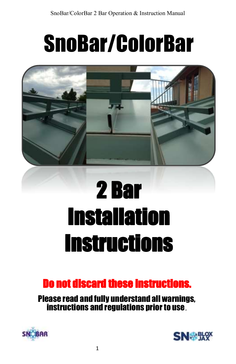# SnoBar/ColorBar



# 2 Bar Installation Instructions

## Do not discard these instructions.

Please read and fully understand all warnings, instructions and regulations prior to use.



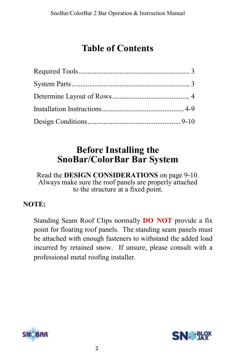### **Table of Contents**

### **Before Installing the SnoBar/ColorBar Bar System**

Read the **DESIGN CONSIDERATIONS** on page 9-10. Always make sure the roof panels are properly attached to the structure at a fixed point.

#### **NOTE:**

Standing Seam Roof Clips normally **DO NOT** provide a fix point for floating roof panels. The standing seam panels must be attached with enough fasteners to withstand the added load incurred by retained snow. If unsure, please consult with a professional metal roofing installer.



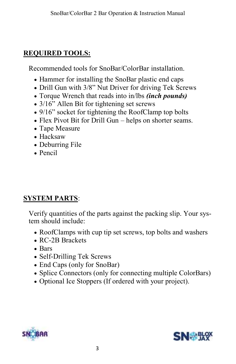#### **REQUIRED TOOLS:**

Recommended tools for SnoBar/ColorBar installation.

- Hammer for installing the SnoBar plastic end caps
- Drill Gun with 3/8" Nut Driver for driving Tek Screws
- Torque Wrench that reads into in/lbs *(inch pounds)*
- 3/16" Allen Bit for tightening set screws
- 9/16" socket for tightening the RoofClamp top bolts
- Flex Pivot Bit for Drill Gun helps on shorter seams.
- Tape Measure
- Hacksaw
- Deburring File
- Pencil

#### **SYSTEM PARTS**:

Verify quantities of the parts against the packing slip. Your system should include:

- RoofClamps with cup tip set screws, top bolts and washers
- RC-2B Brackets
- Bars
- Self-Drilling Tek Screws
- End Caps (only for SnoBar)
- Splice Connectors (only for connecting multiple ColorBars)
- Optional Ice Stoppers (If ordered with your project).



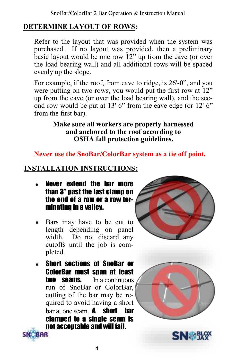#### **DETERMINE LAYOUT OF ROWS:**

Refer to the layout that was provided when the system was purchased. If no layout was provided, then a preliminary basic layout would be one row 12" up from the eave (or over the load bearing wall) and all additional rows will be spaced evenly up the slope.

For example, if the roof, from eave to ridge, is 26'-0", and you were putting on two rows, you would put the first row at 12" up from the eave (or over the load bearing wall), and the second row would be put at 13'-6" from the eave edge (or 12'-6" from the first bar).

#### **Make sure all workers are properly harnessed and anchored to the roof according to OSHA fall protection guidelines.**

#### **Never use the SnoBar/ColorBar system as a tie off point.**

#### **INSTALLATION INSTRUCTIONS:**

- Never extend the bar more than 3" past the last clamp on the end of a row or a row terminating in a valley.
- Bars may have to be cut to length depending on panel width. Do not discard any cutoffs until the job is completed.
- Short sections of SnoBar or ColorBar must span at least **two seams.** In a continuous run of SnoBar or ColorBar, cutting of the bar may be required to avoid having a short bar at one seam.  $\mathbf{A}$  short bar clamped to a single seam is not acceptable and will fail. BAR







4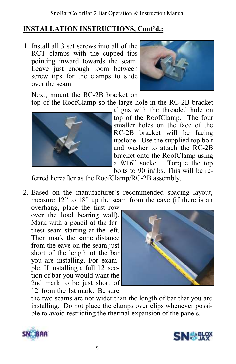1. Install all 3 set screws into all of the RCT clamps with the cupped tips pointing inward towards the seam. Leave just enough room between screw tips for the clamps to slide over the seam.



Next, mount the RC-2B bracket on top of the RoofClamp so the large hole in the RC-2B bracket



aligns with the threaded hole on top of the RoofClamp. The four smaller holes on the face of the RC-2B bracket will be facing upslope. Use the supplied top bolt and washer to attach the RC-2B bracket onto the RoofClamp using a 9/16" socket. Torque the top bolts to 90 in/lbs. This will be re-

ferred hereafter as the RoofClamp/RC-2B assembly.

2. Based on the manufacturer's recommended spacing layout, measure 12" to 18" up the seam from the eave (if there is an

overhang, place the first row over the load bearing wall). Mark with a pencil at the farthest seam starting at the left. Then mark the same distance from the eave on the seam just short of the length of the bar you are installing. For example: If installing a full 12' section of bar you would want the 2nd mark to be just short of 12' from the 1st mark. Be sure



the two seams are not wider than the length of bar that you are installing. Do not place the clamps over clips whenever possible to avoid restricting the thermal expansion of the panels.



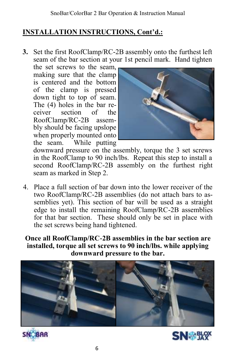**3.** Set the first RoofClamp/RC-2B assembly onto the furthest left seam of the bar section at your 1st pencil mark. Hand tighten

the set screws to the seam, making sure that the clamp is centered and the bottom of the clamp is pressed down tight to top of seam. The (4) holes in the bar receiver section of the RoofClamp/RC-2B assembly should be facing upslope when properly mounted onto the seam. While putting



downward pressure on the assembly, torque the 3 set screws in the RoofClamp to 90 inch/lbs. Repeat this step to install a second RoofClamp/RC-2B assembly on the furthest right seam as marked in Step 2.

4. Place a full section of bar down into the lower receiver of the two RoofClamp/RC-2B assemblies (do not attach bars to assemblies yet). This section of bar will be used as a straight edge to install the remaining RoofClamp/RC-2B assemblies for that bar section. These should only be set in place with the set screws being hand tightened.

**Once all RoofClamp/RC-2B assemblies in the bar section are installed, torque all set screws to 90 inch/lbs. while applying downward pressure to the bar.** 





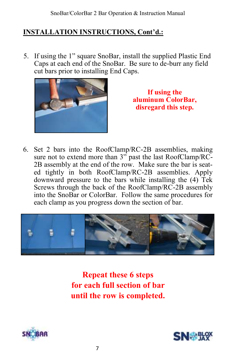5. If using the 1" square SnoBar, install the supplied Plastic End Caps at each end of the SnoBar. Be sure to de-burr any field cut bars prior to installing End Caps.



**If using the aluminum ColorBar, disregard this step.** 

6. Set 2 bars into the RoofClamp/RC-2B assemblies, making sure not to extend more than 3<sup>"</sup> past the last RoofClamp/RC-2B assembly at the end of the row. Make sure the bar is seated tightly in both RoofClamp/RC-2B assemblies. Apply downward pressure to the bars while installing the (4) Tek Screws through the back of the RoofClamp/RC-2B assembly into the SnoBar or ColorBar. Follow the same procedures for each clamp as you progress down the section of bar.



**Repeat these 6 steps for each full section of bar until the row is completed.**



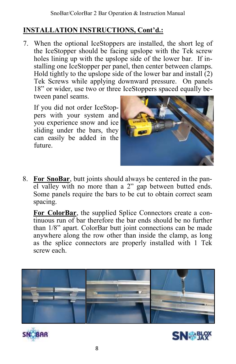7. When the optional IceStoppers are installed, the short leg of the IceStopper should be facing upslope with the Tek screw holes lining up with the upslope side of the lower bar. If installing one IceStopper per panel, then center between clamps. Hold tightly to the upslope side of the lower bar and install  $(2)$ Tek Screws while applying downward pressure. On panels 18" or wider, use two or three IceStoppers spaced equally between panel seams.

If you did not order IceStoppers with your system and you experience snow and ice sliding under the bars, they can easily be added in the future.



8. **For SnoBar**, butt joints should always be centered in the panel valley with no more than a 2" gap between butted ends. Some panels require the bars to be cut to obtain correct seam spacing.

**For ColorBar**, the supplied Splice Connectors create a continuous run of bar therefore the bar ends should be no further than 1/8" apart. ColorBar butt joint connections can be made anywhere along the row other than inside the clamp, as long as the splice connectors are properly installed with 1 Tek screw each.





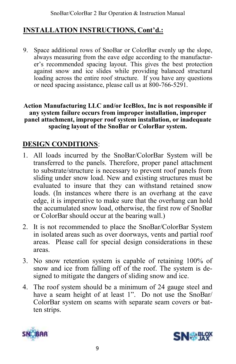9. Space additional rows of SnoBar or ColorBar evenly up the slope, always measuring from the eave edge according to the manufacturer's recommended spacing layout. This gives the best protection against snow and ice slides while providing balanced structural loading across the entire roof structure. If you have any questions or need spacing assistance, please call us at 800-766-5291.

#### **Action Manufacturing LLC and/or IceBlox, Inc is not responsible if any system failure occurs from improper installation, improper panel attachment, improper roof system installation, or inadequate spacing layout of the SnoBar or ColorBar system.**

#### **DESIGN CONDITIONS**:

- 1. All loads incurred by the SnoBar/ColorBar System will be transferred to the panels. Therefore, proper panel attachment to substrate/structure is necessary to prevent roof panels from sliding under snow load. New and existing structures must be evaluated to insure that they can withstand retained snow loads. (In instances where there is an overhang at the eave edge, it is imperative to make sure that the overhang can hold the accumulated snow load, otherwise, the first row of SnoBar or ColorBar should occur at the bearing wall.)
- 2. It is not recommended to place the SnoBar/ColorBar System in isolated areas such as over doorways, vents and partial roof areas. Please call for special design considerations in these areas.
- 3. No snow retention system is capable of retaining 100% of snow and ice from falling off of the roof. The system is designed to mitigate the dangers of sliding snow and ice.
- 4. The roof system should be a minimum of 24 gauge steel and have a seam height of at least 1". Do not use the SnoBar/ ColorBar system on seams with separate seam covers or batten strips.



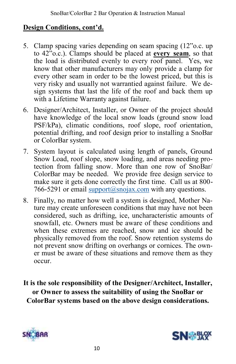#### **Design Conditions, cont'd.**

- 5. Clamp spacing varies depending on seam spacing (12"o.c. up to 42"o.c.). Clamps should be placed at **every seam**, so that the load is distributed evenly to every roof panel. Yes, we know that other manufacturers may only provide a clamp for every other seam in order to be the lowest priced, but this is very risky and usually not warrantied against failure. We design systems that last the life of the roof and back them up with a Lifetime Warranty against failure.
- 6. Designer/Architect, Installer, or Owner of the project should have knowledge of the local snow loads (ground snow load PSF/kPa), climatic conditions, roof slope, roof orientation, potential drifting, and roof design prior to installing a SnoBar or ColorBar system.
- 7. System layout is calculated using length of panels, Ground Snow Load, roof slope, snow loading, and areas needing protection from falling snow. More than one row of SnoBar/ ColorBar may be needed. We provide free design service to make sure it gets done correctly the first time. Call us at 800 766-5291 or email [support@snojax.com](mailto:support@snojax.com) with any questions.
- 8. Finally, no matter how well a system is designed, Mother Nature may create unforeseen conditions that may have not been considered, such as drifting, ice, uncharacteristic amounts of snowfall, etc. Owners must be aware of these conditions and when these extremes are reached, snow and ice should be physically removed from the roof. Snow retention systems do not prevent snow drifting on overhangs or cornices. The owner must be aware of these situations and remove them as they occur.
- **It is the sole responsibility of the Designer/Architect, Installer, or Owner to assess the suitability of using the SnoBar or ColorBar systems based on the above design considerations.**